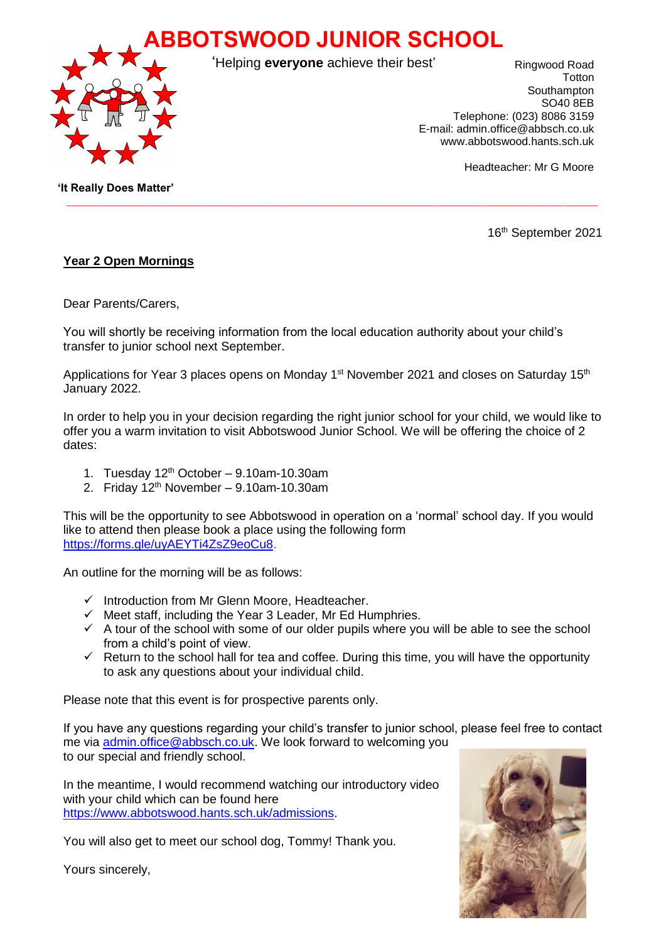**ABBOTSWOOD JUNIOR SCHOOL**



'Helping **everyone** achieve their best'

 $\_$  ,  $\_$  ,  $\_$  ,  $\_$  ,  $\_$  ,  $\_$  ,  $\_$  ,  $\_$  ,  $\_$  ,  $\_$  ,  $\_$  ,  $\_$  ,  $\_$  ,  $\_$  ,  $\_$  ,  $\_$  ,  $\_$  ,  $\_$  ,  $\_$  ,  $\_$  ,  $\_$  ,  $\_$  ,  $\_$  ,  $\_$  ,  $\_$  ,  $\_$  ,  $\_$  ,  $\_$  ,  $\_$  ,  $\_$  ,  $\_$  ,  $\_$  ,  $\_$  ,  $\_$  ,  $\_$  ,  $\_$  ,  $\_$  ,

Ringwood Road **T**otton Southampton SO40 8EB Telephone: (023) 8086 3159 E-mail: admin.office@abbsch.co.uk www.abbotswood.hants.sch.uk

Headteacher: Mr G Moore

 **'It Really Does Matter'**

16th September 2021

## **Year 2 Open Mornings**

Dear Parents/Carers,

You will shortly be receiving information from the local education authority about your child's transfer to junior school next September.

Applications for Year 3 places opens on Monday 1<sup>st</sup> November 2021 and closes on Saturday 15<sup>th</sup> January 2022.

In order to help you in your decision regarding the right junior school for your child, we would like to offer you a warm invitation to visit Abbotswood Junior School. We will be offering the choice of 2 dates:

- 1. Tuesday  $12<sup>th</sup>$  October 9.10am-10.30am
- 2. Friday  $12<sup>th</sup>$  November 9.10am-10.30am

This will be the opportunity to see Abbotswood in operation on a 'normal' school day. If you would like to attend then please book a place using the following form [https://forms.gle/uyAEYTi4ZsZ9eoCu8.](https://forms.gle/uyAEYTi4ZsZ9eoCu8)

An outline for the morning will be as follows:

- $\checkmark$  Introduction from Mr Glenn Moore, Headteacher.
- $\checkmark$  Meet staff, including the Year 3 Leader, Mr Ed Humphries.
- $\checkmark$  A tour of the school with some of our older pupils where you will be able to see the school from a child's point of view.
- $\checkmark$  Return to the school hall for tea and coffee. During this time, you will have the opportunity to ask any questions about your individual child.

Please note that this event is for prospective parents only.

If you have any questions regarding your child's transfer to junior school, please feel free to contact me via [admin.office@abbsch.co.uk.](mailto:admin.office@abbsch.co.uk) We look forward to welcoming you

to our special and friendly school.

In the meantime, I would recommend watching our introductory video with your child which can be found here [https://www.abbotswood.hants.sch.uk/admissions.](https://www.abbotswood.hants.sch.uk/admissions)

You will also get to meet our school dog, Tommy! Thank you.

Yours sincerely,